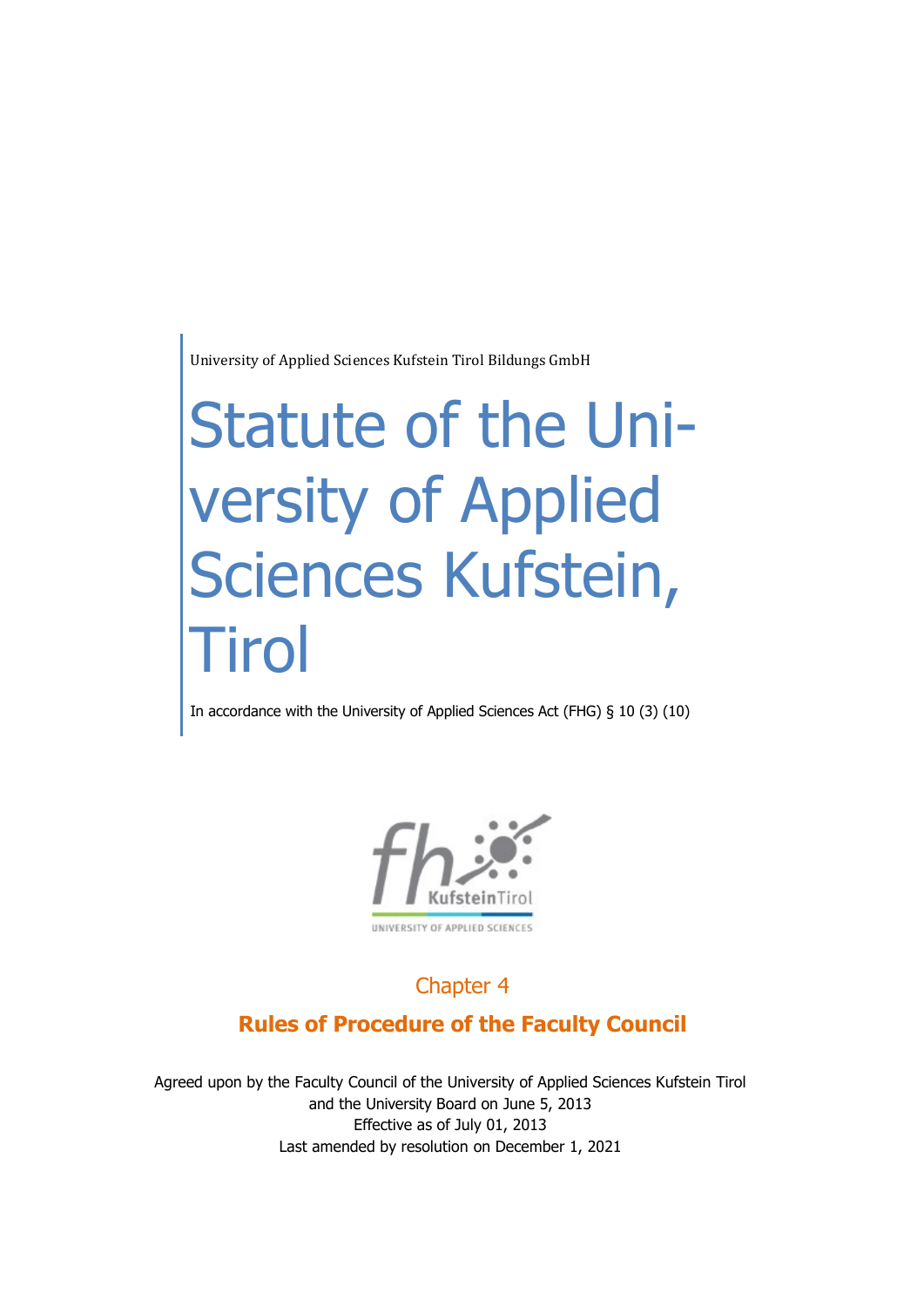University of Applied Sciences Kufstein Tirol Bildungs GmbH

# Statute of the University of Applied Sciences Kufstein, **Tirol**

In accordance with the University of Applied Sciences Act (FHG) § 10 (3) (10)



## Chapter 4

## **Rules of Procedure of the Faculty Council**

Agreed upon by the Faculty Council of the University of Applied Sciences Kufstein Tirol and the University Board on June 5, 2013 Effective as of July 01, 2013 Last amended by resolution on December 1, 2021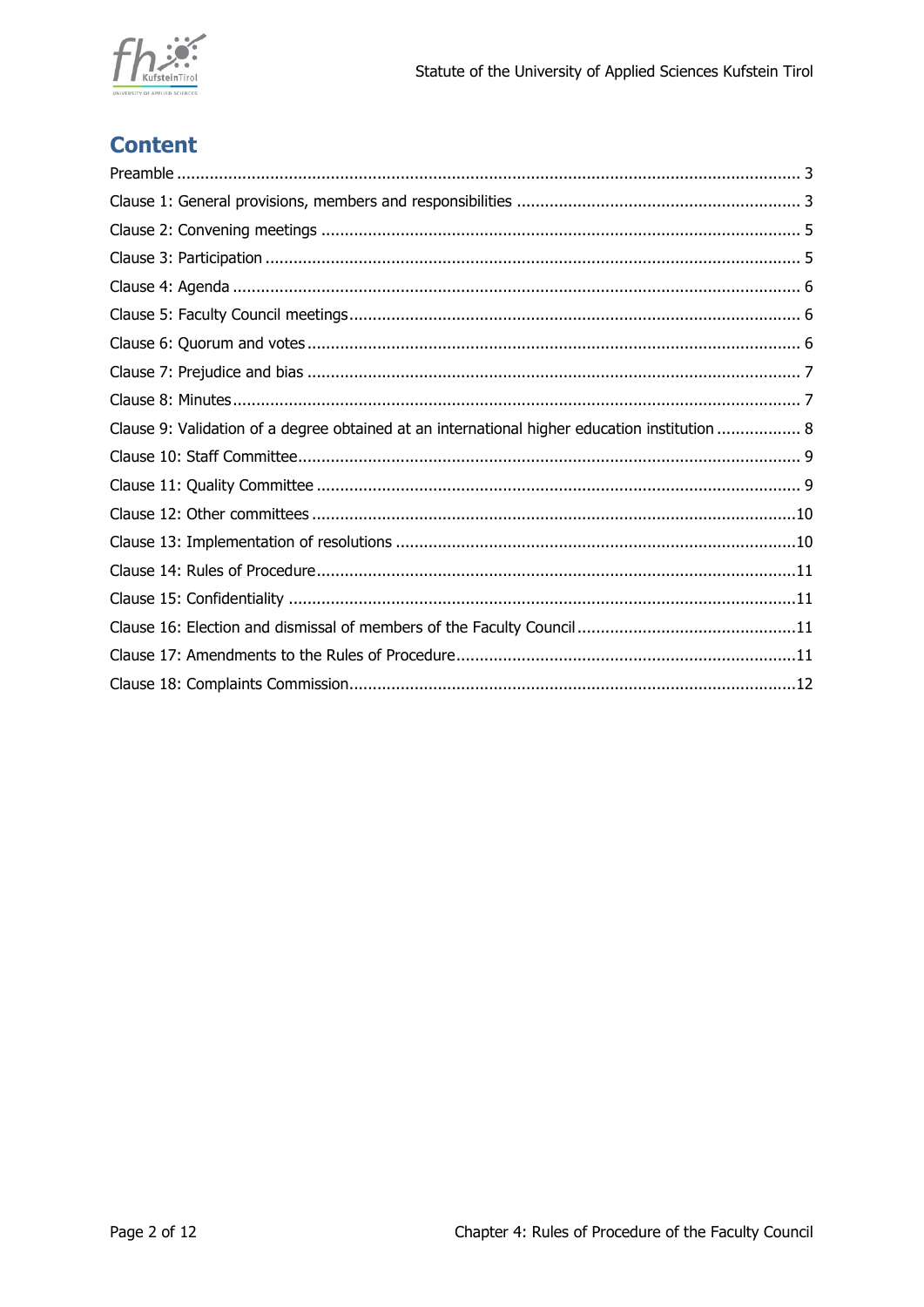

# **Content**

| Clause 9: Validation of a degree obtained at an international higher education institution  8 |
|-----------------------------------------------------------------------------------------------|
|                                                                                               |
|                                                                                               |
|                                                                                               |
|                                                                                               |
|                                                                                               |
|                                                                                               |
|                                                                                               |
|                                                                                               |
|                                                                                               |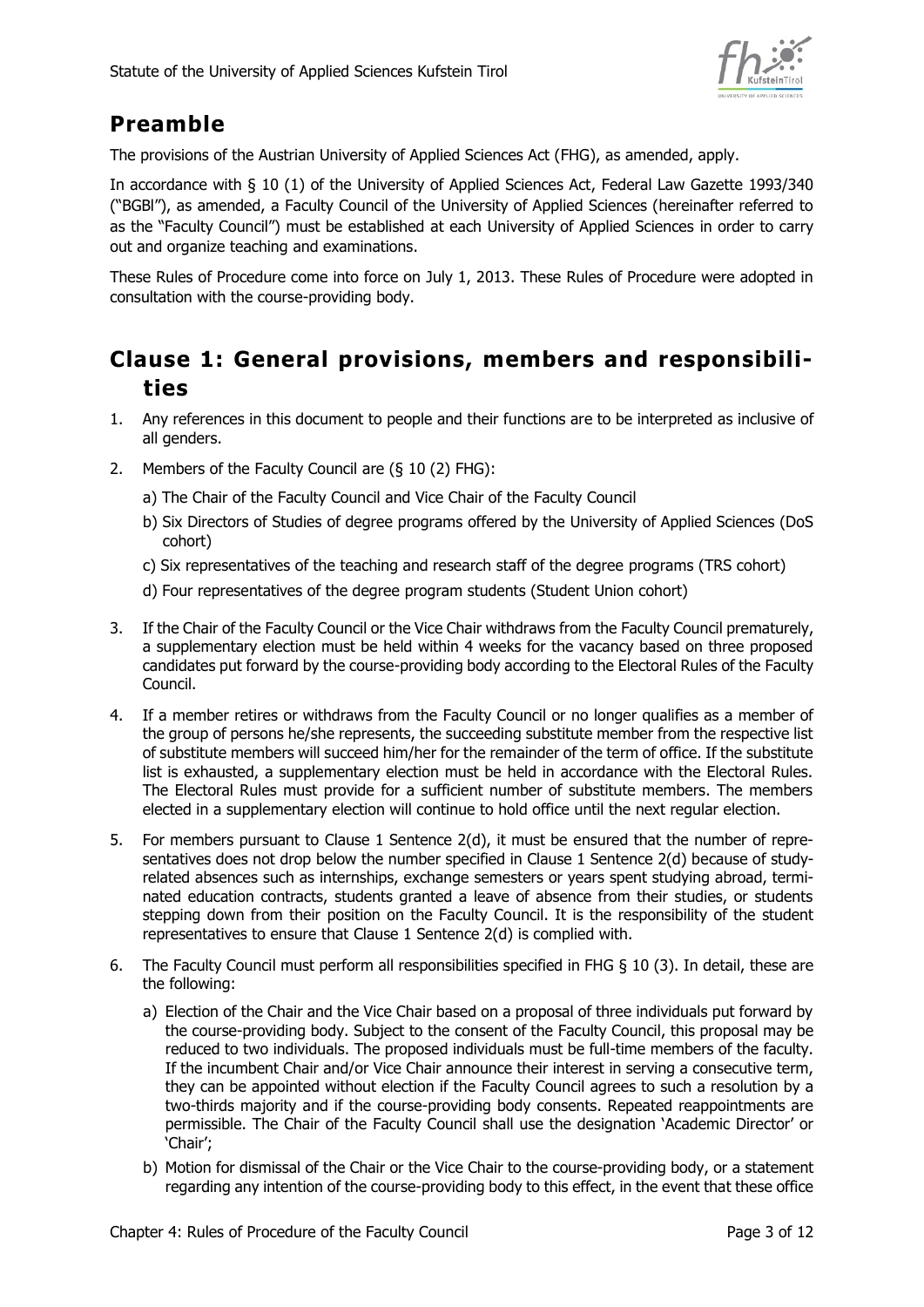

# <span id="page-2-0"></span>**Preamble**

The provisions of the Austrian University of Applied Sciences Act (FHG), as amended, apply.

In accordance with § 10 (1) of the University of Applied Sciences Act, Federal Law Gazette 1993/340 ("BGBl"), as amended, a Faculty Council of the University of Applied Sciences (hereinafter referred to as the "Faculty Council") must be established at each University of Applied Sciences in order to carry out and organize teaching and examinations.

These Rules of Procedure come into force on July 1, 2013. These Rules of Procedure were adopted in consultation with the course-providing body.

## <span id="page-2-1"></span>**Clause 1: General provisions, members and responsibilities**

- 1. Any references in this document to people and their functions are to be interpreted as inclusive of all genders.
- 2. Members of the Faculty Council are (§ 10 (2) FHG):
	- a) The Chair of the Faculty Council and Vice Chair of the Faculty Council
	- b) Six Directors of Studies of degree programs offered by the University of Applied Sciences (DoS cohort)
	- c) Six representatives of the teaching and research staff of the degree programs (TRS cohort)
	- d) Four representatives of the degree program students (Student Union cohort)
- 3. If the Chair of the Faculty Council or the Vice Chair withdraws from the Faculty Council prematurely, a supplementary election must be held within 4 weeks for the vacancy based on three proposed candidates put forward by the course-providing body according to the Electoral Rules of the Faculty Council.
- 4. If a member retires or withdraws from the Faculty Council or no longer qualifies as a member of the group of persons he/she represents, the succeeding substitute member from the respective list of substitute members will succeed him/her for the remainder of the term of office. If the substitute list is exhausted, a supplementary election must be held in accordance with the Electoral Rules. The Electoral Rules must provide for a sufficient number of substitute members. The members elected in a supplementary election will continue to hold office until the next regular election.
- 5. For members pursuant to Clause 1 Sentence 2(d), it must be ensured that the number of representatives does not drop below the number specified in Clause 1 Sentence 2(d) because of studyrelated absences such as internships, exchange semesters or years spent studying abroad, terminated education contracts, students granted a leave of absence from their studies, or students stepping down from their position on the Faculty Council. It is the responsibility of the student representatives to ensure that Clause 1 Sentence 2(d) is complied with.
- 6. The Faculty Council must perform all responsibilities specified in FHG § 10 (3). In detail, these are the following:
	- a) Election of the Chair and the Vice Chair based on a proposal of three individuals put forward by the course-providing body. Subject to the consent of the Faculty Council, this proposal may be reduced to two individuals. The proposed individuals must be full-time members of the faculty. If the incumbent Chair and/or Vice Chair announce their interest in serving a consecutive term, they can be appointed without election if the Faculty Council agrees to such a resolution by a two-thirds majority and if the course-providing body consents. Repeated reappointments are permissible. The Chair of the Faculty Council shall use the designation 'Academic Director' or 'Chair';
	- b) Motion for dismissal of the Chair or the Vice Chair to the course-providing body, or a statement regarding any intention of the course-providing body to this effect, in the event that these office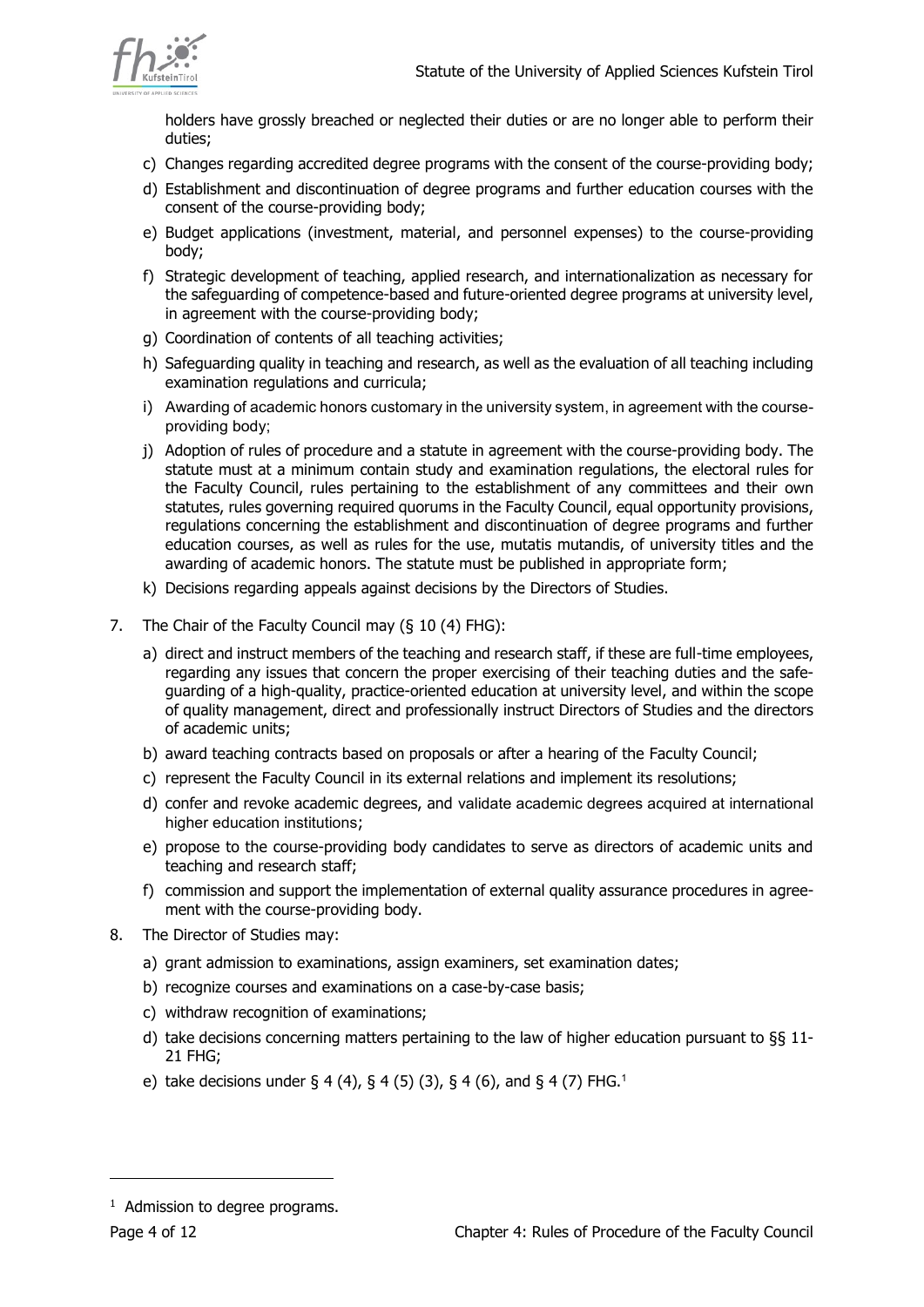

holders have grossly breached or neglected their duties or are no longer able to perform their duties;

- c) Changes regarding accredited degree programs with the consent of the course-providing body;
- d) Establishment and discontinuation of degree programs and further education courses with the consent of the course-providing body;
- e) Budget applications (investment, material, and personnel expenses) to the course-providing body;
- f) Strategic development of teaching, applied research, and internationalization as necessary for the safeguarding of competence-based and future-oriented degree programs at university level, in agreement with the course-providing body;
- g) Coordination of contents of all teaching activities;
- h) Safeguarding quality in teaching and research, as well as the evaluation of all teaching including examination regulations and curricula;
- i) Awarding of academic honors customary in the university system, in agreement with the courseproviding body;
- j) Adoption of rules of procedure and a statute in agreement with the course-providing body. The statute must at a minimum contain study and examination regulations, the electoral rules for the Faculty Council, rules pertaining to the establishment of any committees and their own statutes, rules governing required quorums in the Faculty Council, equal opportunity provisions, regulations concerning the establishment and discontinuation of degree programs and further education courses, as well as rules for the use, mutatis mutandis, of university titles and the awarding of academic honors. The statute must be published in appropriate form;
- k) Decisions regarding appeals against decisions by the Directors of Studies.
- 7. The Chair of the Faculty Council may (§ 10 (4) FHG):
	- a) direct and instruct members of the teaching and research staff, if these are full-time employees, regarding any issues that concern the proper exercising of their teaching duties and the safeguarding of a high-quality, practice-oriented education at university level, and within the scope of quality management, direct and professionally instruct Directors of Studies and the directors of academic units;
	- b) award teaching contracts based on proposals or after a hearing of the Faculty Council;
	- c) represent the Faculty Council in its external relations and implement its resolutions;
	- d) confer and revoke academic degrees, and validate academic degrees acquired at international higher education institutions;
	- e) propose to the course-providing body candidates to serve as directors of academic units and teaching and research staff;
	- f) commission and support the implementation of external quality assurance procedures in agreement with the course-providing body.
- 8. The Director of Studies may:
	- a) grant admission to examinations, assign examiners, set examination dates;
	- b) recognize courses and examinations on a case-by-case basis;
	- c) withdraw recognition of examinations;
	- d) take decisions concerning matters pertaining to the law of higher education pursuant to  $\S$ § 11-21 FHG;
	- e) take decisions under  $\S 4 (4), \S 4 (5) (3), \S 4 (6),$  and  $\S 4 (7)$  FHG.<sup>1</sup>

-

<sup>&</sup>lt;sup>1</sup> Admission to degree programs.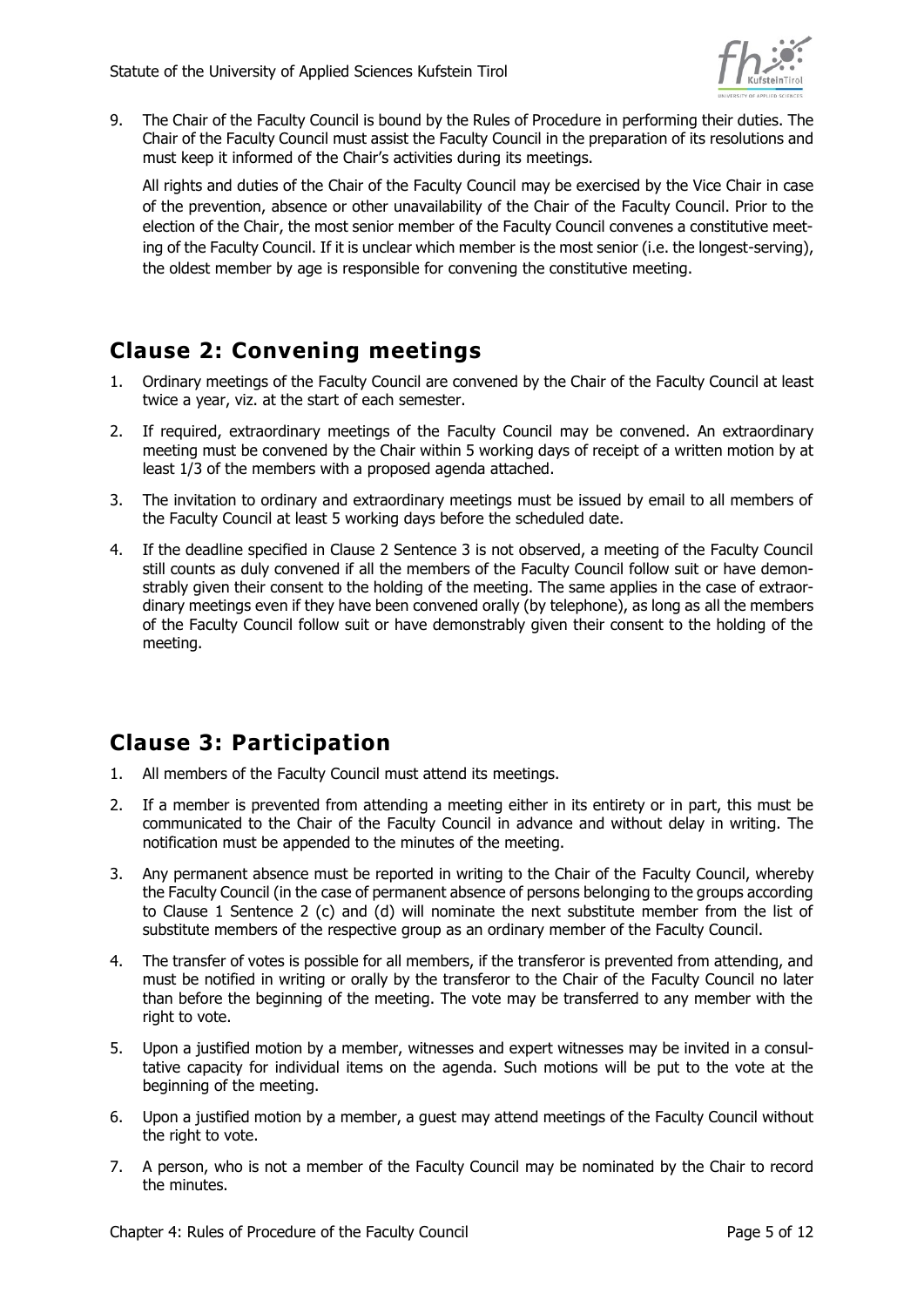

9. The Chair of the Faculty Council is bound by the Rules of Procedure in performing their duties. The Chair of the Faculty Council must assist the Faculty Council in the preparation of its resolutions and must keep it informed of the Chair's activities during its meetings.

All rights and duties of the Chair of the Faculty Council may be exercised by the Vice Chair in case of the prevention, absence or other unavailability of the Chair of the Faculty Council. Prior to the election of the Chair, the most senior member of the Faculty Council convenes a constitutive meeting of the Faculty Council. If it is unclear which member is the most senior (i.e. the longest-serving), the oldest member by age is responsible for convening the constitutive meeting.

# <span id="page-4-0"></span>**Clause 2: Convening meetings**

- 1. Ordinary meetings of the Faculty Council are convened by the Chair of the Faculty Council at least twice a year, viz. at the start of each semester.
- 2. If required, extraordinary meetings of the Faculty Council may be convened. An extraordinary meeting must be convened by the Chair within 5 working days of receipt of a written motion by at least 1/3 of the members with a proposed agenda attached.
- 3. The invitation to ordinary and extraordinary meetings must be issued by email to all members of the Faculty Council at least 5 working days before the scheduled date.
- 4. If the deadline specified in Clause 2 Sentence 3 is not observed, a meeting of the Faculty Council still counts as duly convened if all the members of the Faculty Council follow suit or have demonstrably given their consent to the holding of the meeting. The same applies in the case of extraordinary meetings even if they have been convened orally (by telephone), as long as all the members of the Faculty Council follow suit or have demonstrably given their consent to the holding of the meeting.

## <span id="page-4-1"></span>**Clause 3: Participation**

- 1. All members of the Faculty Council must attend its meetings.
- 2. If a member is prevented from attending a meeting either in its entirety or in part, this must be communicated to the Chair of the Faculty Council in advance and without delay in writing. The notification must be appended to the minutes of the meeting.
- 3. Any permanent absence must be reported in writing to the Chair of the Faculty Council, whereby the Faculty Council (in the case of permanent absence of persons belonging to the groups according to Clause 1 Sentence 2 (c) and (d) will nominate the next substitute member from the list of substitute members of the respective group as an ordinary member of the Faculty Council.
- 4. The transfer of votes is possible for all members, if the transferor is prevented from attending, and must be notified in writing or orally by the transferor to the Chair of the Faculty Council no later than before the beginning of the meeting. The vote may be transferred to any member with the right to vote.
- 5. Upon a justified motion by a member, witnesses and expert witnesses may be invited in a consultative capacity for individual items on the agenda. Such motions will be put to the vote at the beginning of the meeting.
- 6. Upon a justified motion by a member, a guest may attend meetings of the Faculty Council without the right to vote.
- 7. A person, who is not a member of the Faculty Council may be nominated by the Chair to record the minutes.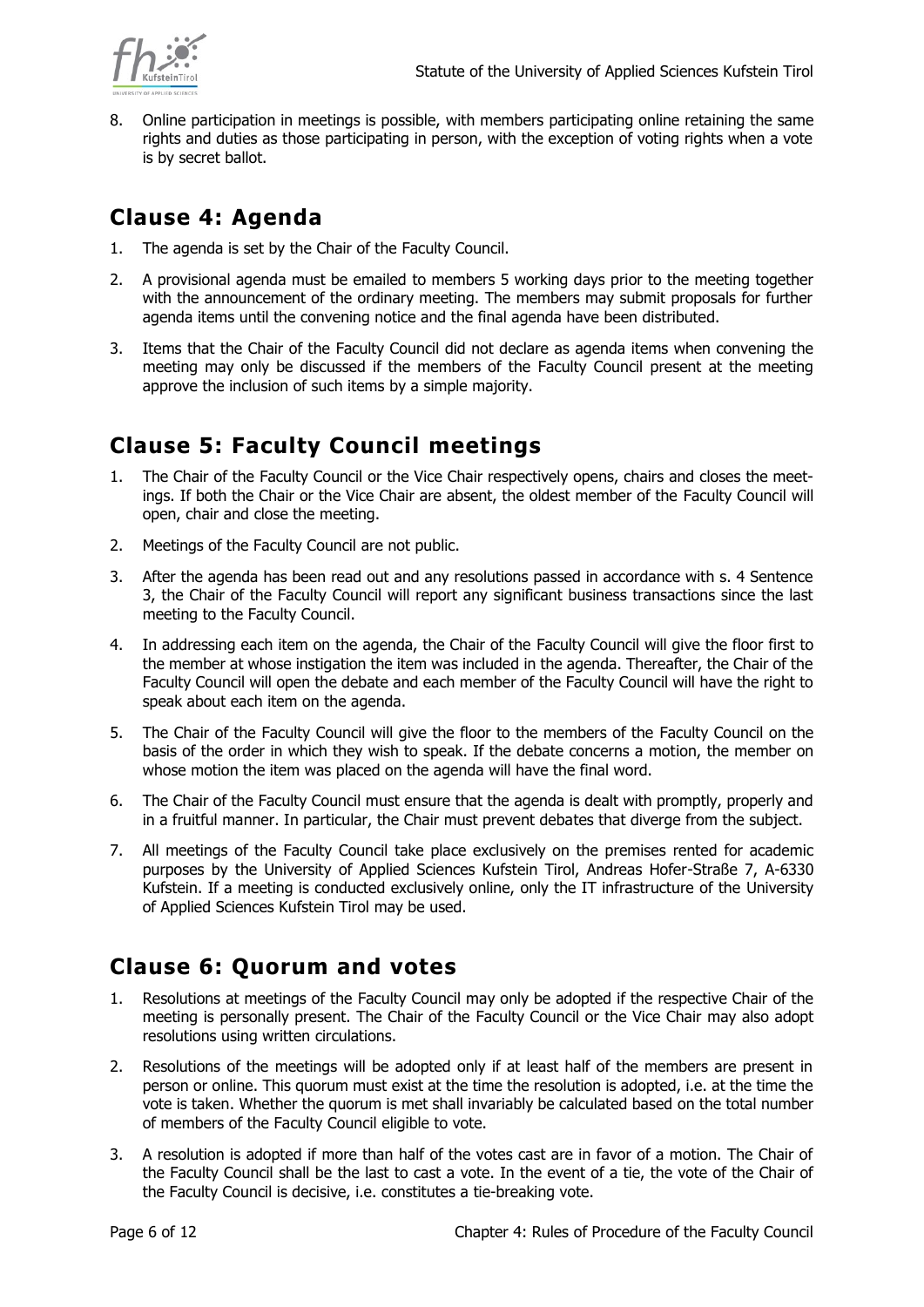

8. Online participation in meetings is possible, with members participating online retaining the same rights and duties as those participating in person, with the exception of voting rights when a vote is by secret ballot.

# <span id="page-5-0"></span>**Clause 4: Agenda**

- 1. The agenda is set by the Chair of the Faculty Council.
- 2. A provisional agenda must be emailed to members 5 working days prior to the meeting together with the announcement of the ordinary meeting. The members may submit proposals for further agenda items until the convening notice and the final agenda have been distributed.
- 3. Items that the Chair of the Faculty Council did not declare as agenda items when convening the meeting may only be discussed if the members of the Faculty Council present at the meeting approve the inclusion of such items by a simple majority.

## <span id="page-5-1"></span>**Clause 5: Faculty Council meetings**

- 1. The Chair of the Faculty Council or the Vice Chair respectively opens, chairs and closes the meetings. If both the Chair or the Vice Chair are absent, the oldest member of the Faculty Council will open, chair and close the meeting.
- 2. Meetings of the Faculty Council are not public.
- 3. After the agenda has been read out and any resolutions passed in accordance with s. 4 Sentence 3, the Chair of the Faculty Council will report any significant business transactions since the last meeting to the Faculty Council.
- 4. In addressing each item on the agenda, the Chair of the Faculty Council will give the floor first to the member at whose instigation the item was included in the agenda. Thereafter, the Chair of the Faculty Council will open the debate and each member of the Faculty Council will have the right to speak about each item on the agenda.
- 5. The Chair of the Faculty Council will give the floor to the members of the Faculty Council on the basis of the order in which they wish to speak. If the debate concerns a motion, the member on whose motion the item was placed on the agenda will have the final word.
- 6. The Chair of the Faculty Council must ensure that the agenda is dealt with promptly, properly and in a fruitful manner. In particular, the Chair must prevent debates that diverge from the subject.
- 7. All meetings of the Faculty Council take place exclusively on the premises rented for academic purposes by the University of Applied Sciences Kufstein Tirol, Andreas Hofer-Straße 7, A-6330 Kufstein. If a meeting is conducted exclusively online, only the IT infrastructure of the University of Applied Sciences Kufstein Tirol may be used.

## <span id="page-5-2"></span>**Clause 6: Quorum and votes**

- 1. Resolutions at meetings of the Faculty Council may only be adopted if the respective Chair of the meeting is personally present. The Chair of the Faculty Council or the Vice Chair may also adopt resolutions using written circulations.
- 2. Resolutions of the meetings will be adopted only if at least half of the members are present in person or online. This quorum must exist at the time the resolution is adopted, i.e. at the time the vote is taken. Whether the quorum is met shall invariably be calculated based on the total number of members of the Faculty Council eligible to vote.
- 3. A resolution is adopted if more than half of the votes cast are in favor of a motion. The Chair of the Faculty Council shall be the last to cast a vote. In the event of a tie, the vote of the Chair of the Faculty Council is decisive, i.e. constitutes a tie-breaking vote.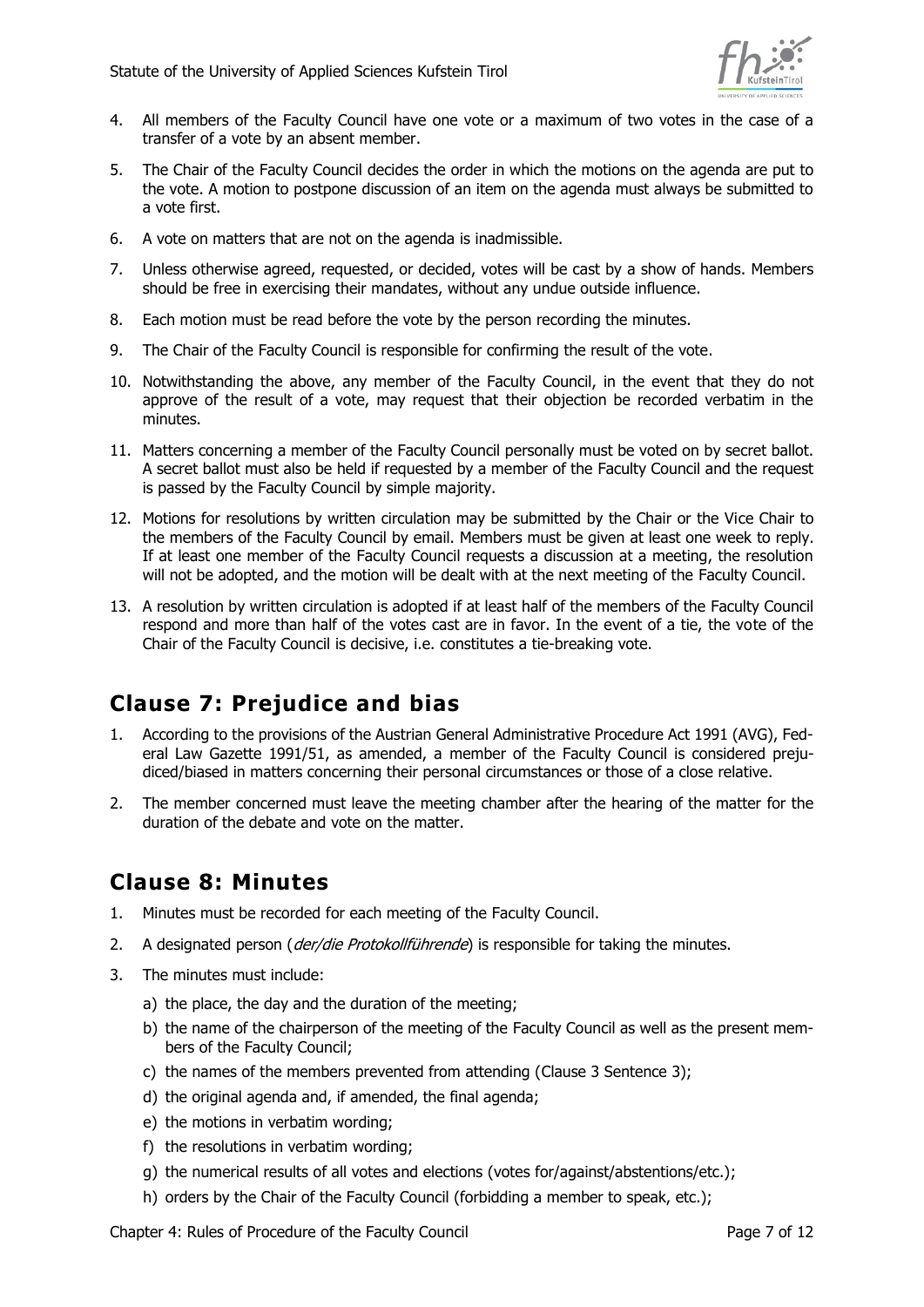

- 4. All members of the Faculty Council have one vote or a maximum of two votes in the case of a transfer of a vote by an absent member.
- 5. The Chair of the Faculty Council decides the order in which the motions on the agenda are put to the vote. A motion to postpone discussion of an item on the agenda must always be submitted to a vote first.
- 6. A vote on matters that are not on the agenda is inadmissible.
- 7. Unless otherwise agreed, requested, or decided, votes will be cast by a show of hands. Members should be free in exercising their mandates, without any undue outside influence.
- 8. Each motion must be read before the vote by the person recording the minutes.
- 9. The Chair of the Faculty Council is responsible for confirming the result of the vote.
- 10. Notwithstanding the above, any member of the Faculty Council, in the event that they do not approve of the result of a vote, may request that their objection be recorded verbatim in the minutes.
- 11. Matters concerning a member of the Faculty Council personally must be voted on by secret ballot. A secret ballot must also be held if requested by a member of the Faculty Council and the request is passed by the Faculty Council by simple majority.
- 12. Motions for resolutions by written circulation may be submitted by the Chair or the Vice Chair to the members of the Faculty Council by email. Members must be given at least one week to reply. If at least one member of the Faculty Council requests a discussion at a meeting, the resolution will not be adopted, and the motion will be dealt with at the next meeting of the Faculty Council.
- 13. A resolution by written circulation is adopted if at least half of the members of the Faculty Council respond and more than half of the votes cast are in favor. In the event of a tie, the vote of the Chair of the Faculty Council is decisive, i.e. constitutes a tie-breaking vote.

# <span id="page-6-0"></span>**Clause 7: Prejudice and bias**

- 1. According to the provisions of the Austrian General Administrative Procedure Act 1991 (AVG), Federal Law Gazette 1991/51, as amended, a member of the Faculty Council is considered prejudiced/biased in matters concerning their personal circumstances or those of a close relative.
- 2. The member concerned must leave the meeting chamber after the hearing of the matter for the duration of the debate and vote on the matter.

#### <span id="page-6-1"></span>**Clause 8: Minutes**

- 1. Minutes must be recorded for each meeting of the Faculty Council.
- 2. A designated person (*der/die Protokollführende*) is responsible for taking the minutes.
- 3. The minutes must include:
	- a) the place, the day and the duration of the meeting;
	- b) the name of the chairperson of the meeting of the Faculty Council as well as the present members of the Faculty Council;
	- c) the names of the members prevented from attending (Clause 3 Sentence 3);
	- d) the original agenda and, if amended, the final agenda;
	- e) the motions in verbatim wording;
	- f) the resolutions in verbatim wording;
	- g) the numerical results of all votes and elections (votes for/against/abstentions/etc.);
	- h) orders by the Chair of the Faculty Council (forbidding a member to speak, etc.);

Chapter 4: Rules of Procedure of the Faculty Council Chapter 10 Chapter 4: Rules of 12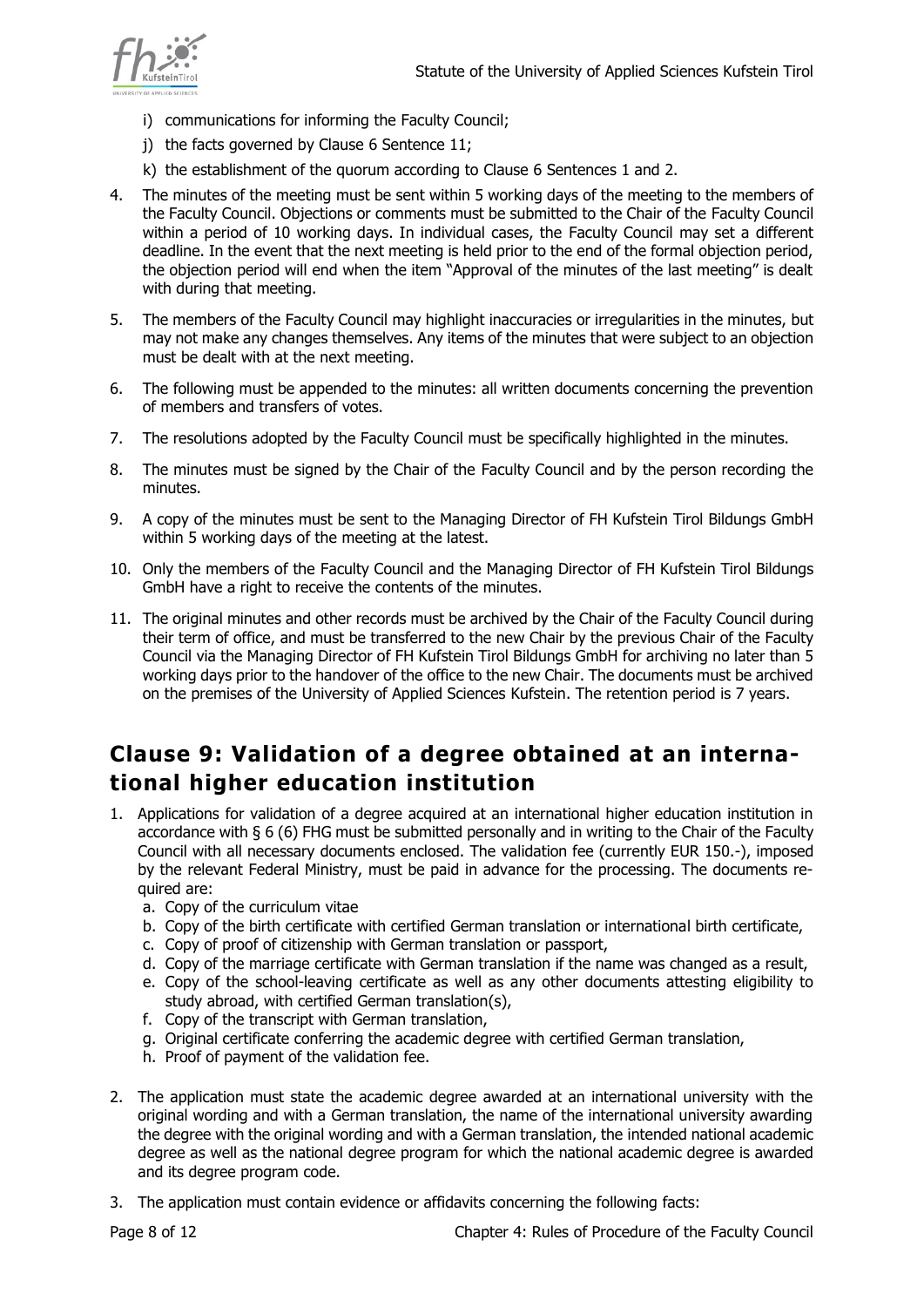

- i) communications for informing the Faculty Council;
- j) the facts governed by Clause 6 Sentence 11;
- k) the establishment of the quorum according to Clause 6 Sentences 1 and 2.
- 4. The minutes of the meeting must be sent within 5 working days of the meeting to the members of the Faculty Council. Objections or comments must be submitted to the Chair of the Faculty Council within a period of 10 working days. In individual cases, the Faculty Council may set a different deadline. In the event that the next meeting is held prior to the end of the formal objection period, the objection period will end when the item "Approval of the minutes of the last meeting" is dealt with during that meeting.
- 5. The members of the Faculty Council may highlight inaccuracies or irregularities in the minutes, but may not make any changes themselves. Any items of the minutes that were subject to an objection must be dealt with at the next meeting.
- 6. The following must be appended to the minutes: all written documents concerning the prevention of members and transfers of votes.
- 7. The resolutions adopted by the Faculty Council must be specifically highlighted in the minutes.
- 8. The minutes must be signed by the Chair of the Faculty Council and by the person recording the minutes.
- 9. A copy of the minutes must be sent to the Managing Director of FH Kufstein Tirol Bildungs GmbH within 5 working days of the meeting at the latest.
- 10. Only the members of the Faculty Council and the Managing Director of FH Kufstein Tirol Bildungs GmbH have a right to receive the contents of the minutes.
- 11. The original minutes and other records must be archived by the Chair of the Faculty Council during their term of office, and must be transferred to the new Chair by the previous Chair of the Faculty Council via the Managing Director of FH Kufstein Tirol Bildungs GmbH for archiving no later than 5 working days prior to the handover of the office to the new Chair. The documents must be archived on the premises of the University of Applied Sciences Kufstein. The retention period is 7 years.

# <span id="page-7-0"></span>**Clause 9: Validation of a degree obtained at an international higher education institution**

- 1. Applications for validation of a degree acquired at an international higher education institution in accordance with § 6 (6) FHG must be submitted personally and in writing to the Chair of the Faculty Council with all necessary documents enclosed. The validation fee (currently EUR 150.-), imposed by the relevant Federal Ministry, must be paid in advance for the processing. The documents required are:
	- a. Copy of the curriculum vitae
	- b. Copy of the birth certificate with certified German translation or international birth certificate,
	- c. Copy of proof of citizenship with German translation or passport,
	- d. Copy of the marriage certificate with German translation if the name was changed as a result,
	- e. Copy of the school-leaving certificate as well as any other documents attesting eligibility to study abroad, with certified German translation(s),
	- f. Copy of the transcript with German translation,
	- g. Original certificate conferring the academic degree with certified German translation,
	- h. Proof of payment of the validation fee.
- 2. The application must state the academic degree awarded at an international university with the original wording and with a German translation, the name of the international university awarding the degree with the original wording and with a German translation, the intended national academic degree as well as the national degree program for which the national academic degree is awarded and its degree program code.
- 3. The application must contain evidence or affidavits concerning the following facts: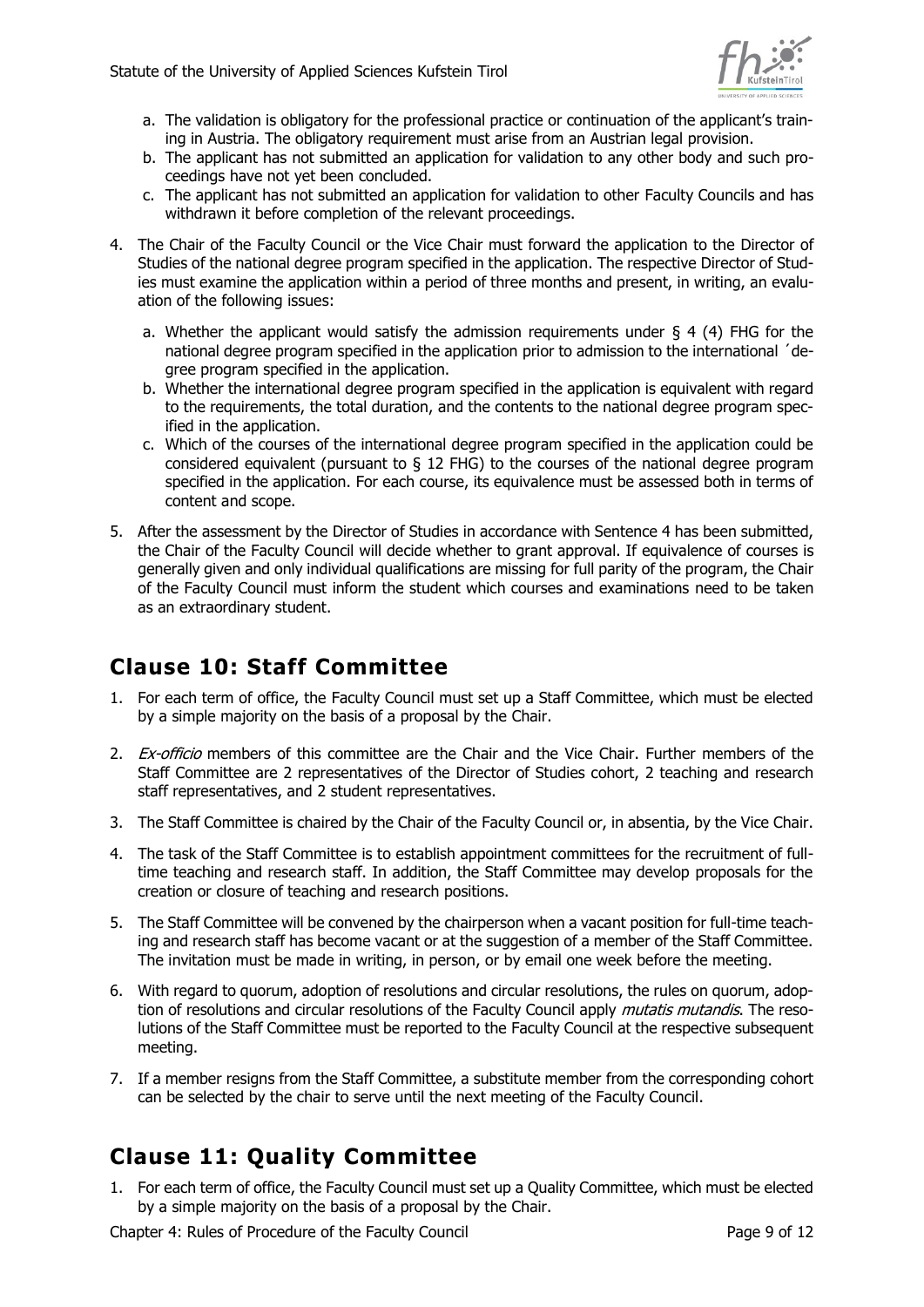

- a. The validation is obligatory for the professional practice or continuation of the applicant's training in Austria. The obligatory requirement must arise from an Austrian legal provision.
- b. The applicant has not submitted an application for validation to any other body and such proceedings have not yet been concluded.
- c. The applicant has not submitted an application for validation to other Faculty Councils and has withdrawn it before completion of the relevant proceedings.
- 4. The Chair of the Faculty Council or the Vice Chair must forward the application to the Director of Studies of the national degree program specified in the application. The respective Director of Studies must examine the application within a period of three months and present, in writing, an evaluation of the following issues:
	- a. Whether the applicant would satisfy the admission requirements under  $\S$  4 (4) FHG for the national degree program specified in the application prior to admission to the international ´degree program specified in the application.
	- b. Whether the international degree program specified in the application is equivalent with regard to the requirements, the total duration, and the contents to the national degree program specified in the application.
	- c. Which of the courses of the international degree program specified in the application could be considered equivalent (pursuant to § 12 FHG) to the courses of the national degree program specified in the application. For each course, its equivalence must be assessed both in terms of content and scope.
- 5. After the assessment by the Director of Studies in accordance with Sentence 4 has been submitted, the Chair of the Faculty Council will decide whether to grant approval. If equivalence of courses is generally given and only individual qualifications are missing for full parity of the program, the Chair of the Faculty Council must inform the student which courses and examinations need to be taken as an extraordinary student.

## <span id="page-8-0"></span>**Clause 10: Staff Committee**

- 1. For each term of office, the Faculty Council must set up a Staff Committee, which must be elected by a simple majority on the basis of a proposal by the Chair.
- 2. Ex-officio members of this committee are the Chair and the Vice Chair. Further members of the Staff Committee are 2 representatives of the Director of Studies cohort, 2 teaching and research staff representatives, and 2 student representatives.
- 3. The Staff Committee is chaired by the Chair of the Faculty Council or, in absentia, by the Vice Chair.
- 4. The task of the Staff Committee is to establish appointment committees for the recruitment of fulltime teaching and research staff. In addition, the Staff Committee may develop proposals for the creation or closure of teaching and research positions.
- 5. The Staff Committee will be convened by the chairperson when a vacant position for full-time teaching and research staff has become vacant or at the suggestion of a member of the Staff Committee. The invitation must be made in writing, in person, or by email one week before the meeting.
- 6. With regard to quorum, adoption of resolutions and circular resolutions, the rules on quorum, adoption of resolutions and circular resolutions of the Faculty Council apply *mutatis mutandis*. The resolutions of the Staff Committee must be reported to the Faculty Council at the respective subsequent meeting.
- 7. If a member resigns from the Staff Committee, a substitute member from the corresponding cohort can be selected by the chair to serve until the next meeting of the Faculty Council.

# <span id="page-8-1"></span>**Clause 11: Quality Committee**

1. For each term of office, the Faculty Council must set up a Quality Committee, which must be elected by a simple majority on the basis of a proposal by the Chair.

Chapter 4: Rules of Procedure of the Faculty Council Chapter 10 Chapter 4: Rules of 12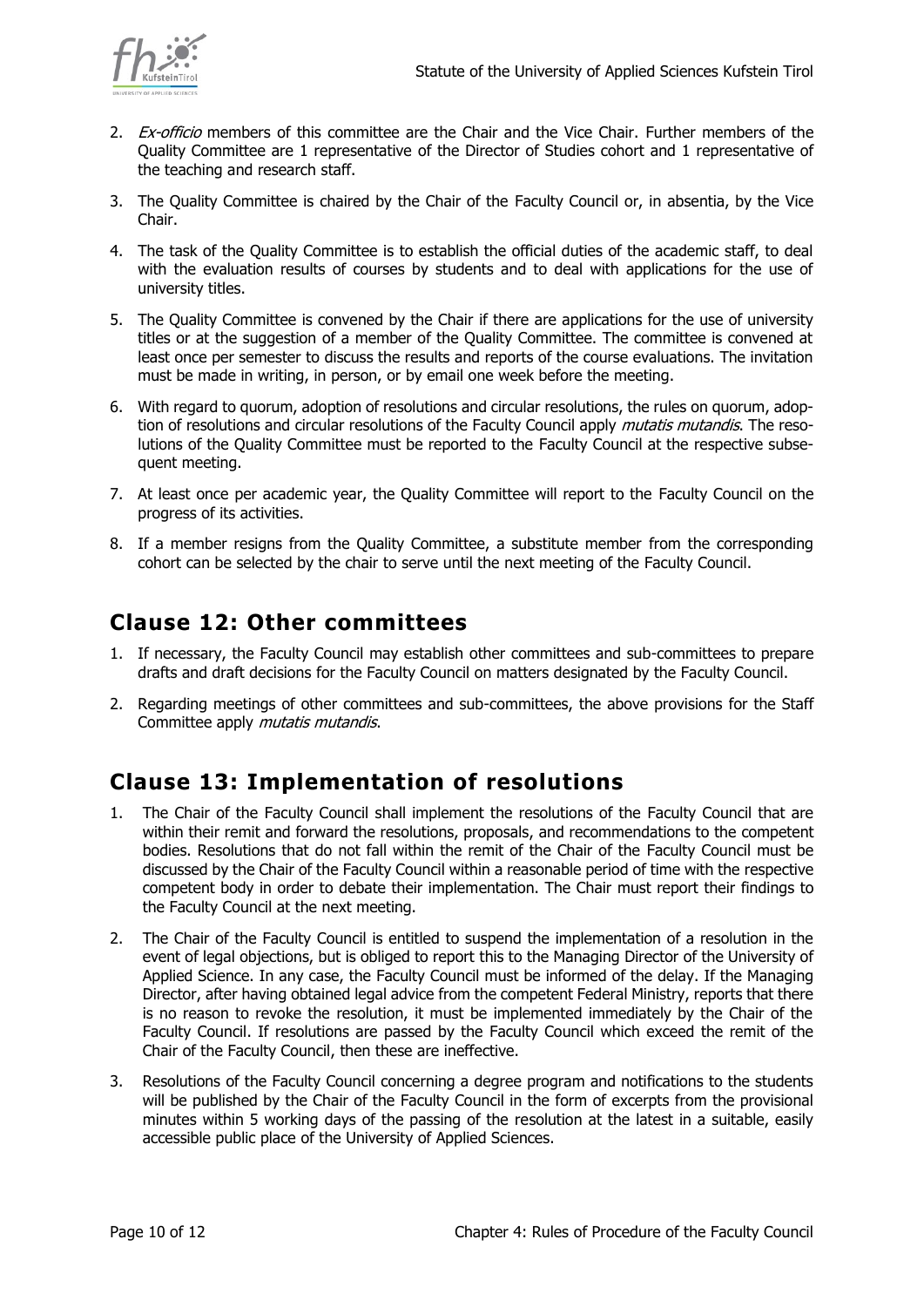

- 2. Ex-officio members of this committee are the Chair and the Vice Chair. Further members of the Quality Committee are 1 representative of the Director of Studies cohort and 1 representative of the teaching and research staff.
- 3. The Quality Committee is chaired by the Chair of the Faculty Council or, in absentia, by the Vice Chair.
- 4. The task of the Quality Committee is to establish the official duties of the academic staff, to deal with the evaluation results of courses by students and to deal with applications for the use of university titles.
- 5. The Quality Committee is convened by the Chair if there are applications for the use of university titles or at the suggestion of a member of the Quality Committee. The committee is convened at least once per semester to discuss the results and reports of the course evaluations. The invitation must be made in writing, in person, or by email one week before the meeting.
- 6. With regard to quorum, adoption of resolutions and circular resolutions, the rules on quorum, adoption of resolutions and circular resolutions of the Faculty Council apply *mutatis mutandis*. The resolutions of the Quality Committee must be reported to the Faculty Council at the respective subsequent meeting.
- 7. At least once per academic year, the Quality Committee will report to the Faculty Council on the progress of its activities.
- 8. If a member resigns from the Quality Committee, a substitute member from the corresponding cohort can be selected by the chair to serve until the next meeting of the Faculty Council.

## <span id="page-9-0"></span>**Clause 12: Other committees**

- 1. If necessary, the Faculty Council may establish other committees and sub-committees to prepare drafts and draft decisions for the Faculty Council on matters designated by the Faculty Council.
- 2. Regarding meetings of other committees and sub-committees, the above provisions for the Staff Committee apply *mutatis mutandis*.

## <span id="page-9-1"></span>**Clause 13: Implementation of resolutions**

- 1. The Chair of the Faculty Council shall implement the resolutions of the Faculty Council that are within their remit and forward the resolutions, proposals, and recommendations to the competent bodies. Resolutions that do not fall within the remit of the Chair of the Faculty Council must be discussed by the Chair of the Faculty Council within a reasonable period of time with the respective competent body in order to debate their implementation. The Chair must report their findings to the Faculty Council at the next meeting.
- 2. The Chair of the Faculty Council is entitled to suspend the implementation of a resolution in the event of legal objections, but is obliged to report this to the Managing Director of the University of Applied Science. In any case, the Faculty Council must be informed of the delay. If the Managing Director, after having obtained legal advice from the competent Federal Ministry, reports that there is no reason to revoke the resolution, it must be implemented immediately by the Chair of the Faculty Council. If resolutions are passed by the Faculty Council which exceed the remit of the Chair of the Faculty Council, then these are ineffective.
- 3. Resolutions of the Faculty Council concerning a degree program and notifications to the students will be published by the Chair of the Faculty Council in the form of excerpts from the provisional minutes within 5 working days of the passing of the resolution at the latest in a suitable, easily accessible public place of the University of Applied Sciences.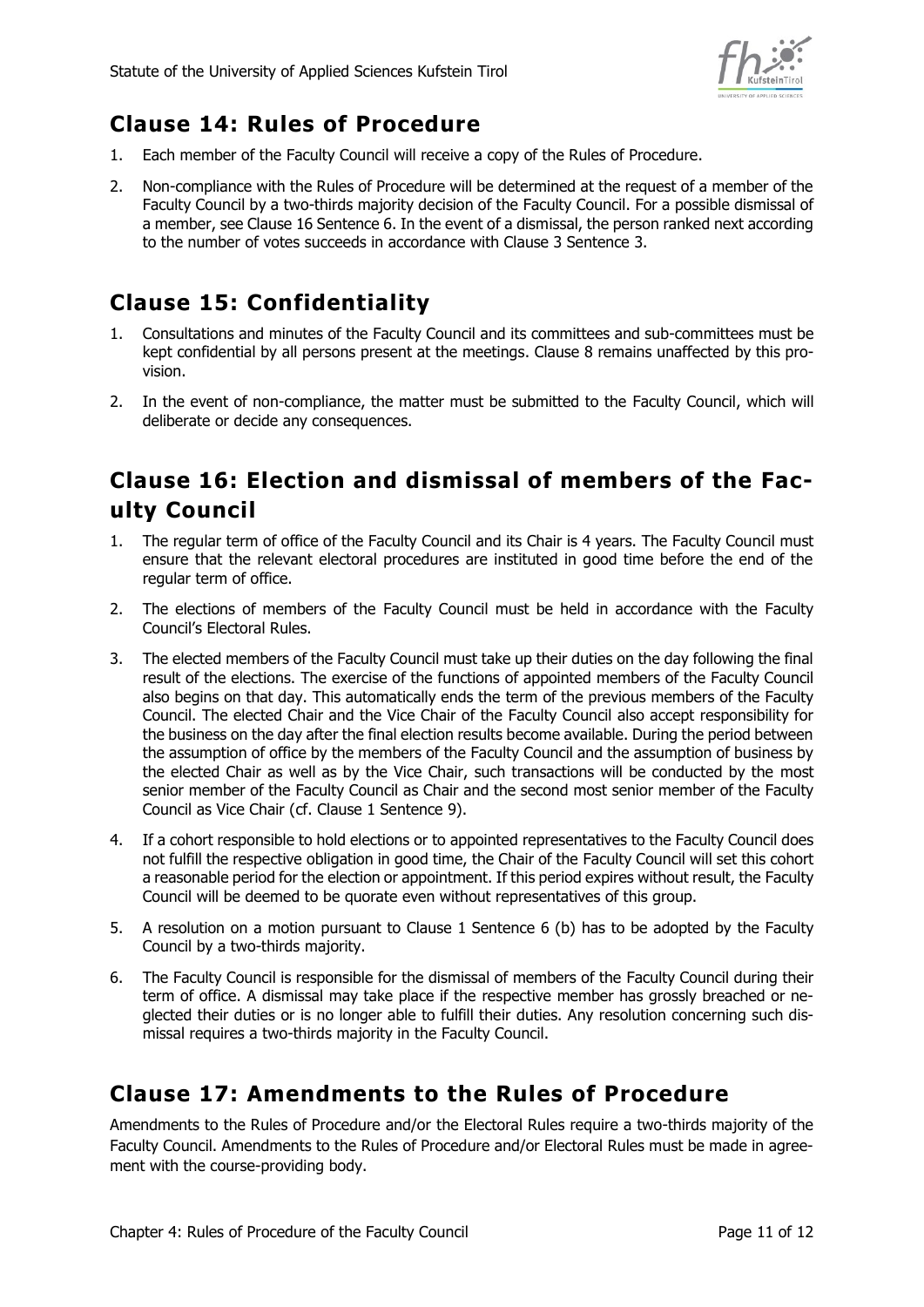

# <span id="page-10-0"></span>**Clause 14: Rules of Procedure**

- 1. Each member of the Faculty Council will receive a copy of the Rules of Procedure.
- 2. Non-compliance with the Rules of Procedure will be determined at the request of a member of the Faculty Council by a two-thirds majority decision of the Faculty Council. For a possible dismissal of a member, see Clause 16 Sentence 6. In the event of a dismissal, the person ranked next according to the number of votes succeeds in accordance with Clause 3 Sentence 3.

# <span id="page-10-1"></span>**Clause 15: Confidentiality**

- 1. Consultations and minutes of the Faculty Council and its committees and sub-committees must be kept confidential by all persons present at the meetings. Clause 8 remains unaffected by this provision.
- 2. In the event of non-compliance, the matter must be submitted to the Faculty Council, which will deliberate or decide any consequences.

## <span id="page-10-2"></span>**Clause 16: Election and dismissal of members of the Faculty Council**

- 1. The regular term of office of the Faculty Council and its Chair is 4 years. The Faculty Council must ensure that the relevant electoral procedures are instituted in good time before the end of the regular term of office.
- 2. The elections of members of the Faculty Council must be held in accordance with the Faculty Council's Electoral Rules.
- 3. The elected members of the Faculty Council must take up their duties on the day following the final result of the elections. The exercise of the functions of appointed members of the Faculty Council also begins on that day. This automatically ends the term of the previous members of the Faculty Council. The elected Chair and the Vice Chair of the Faculty Council also accept responsibility for the business on the day after the final election results become available. During the period between the assumption of office by the members of the Faculty Council and the assumption of business by the elected Chair as well as by the Vice Chair, such transactions will be conducted by the most senior member of the Faculty Council as Chair and the second most senior member of the Faculty Council as Vice Chair (cf. Clause 1 Sentence 9).
- 4. If a cohort responsible to hold elections or to appointed representatives to the Faculty Council does not fulfill the respective obligation in good time, the Chair of the Faculty Council will set this cohort a reasonable period for the election or appointment. If this period expires without result, the Faculty Council will be deemed to be quorate even without representatives of this group.
- 5. A resolution on a motion pursuant to Clause 1 Sentence 6 (b) has to be adopted by the Faculty Council by a two-thirds majority.
- 6. The Faculty Council is responsible for the dismissal of members of the Faculty Council during their term of office. A dismissal may take place if the respective member has grossly breached or neglected their duties or is no longer able to fulfill their duties. Any resolution concerning such dismissal requires a two-thirds majority in the Faculty Council.

## <span id="page-10-3"></span>**Clause 17: Amendments to the Rules of Procedure**

Amendments to the Rules of Procedure and/or the Electoral Rules require a two-thirds majority of the Faculty Council. Amendments to the Rules of Procedure and/or Electoral Rules must be made in agreement with the course-providing body.